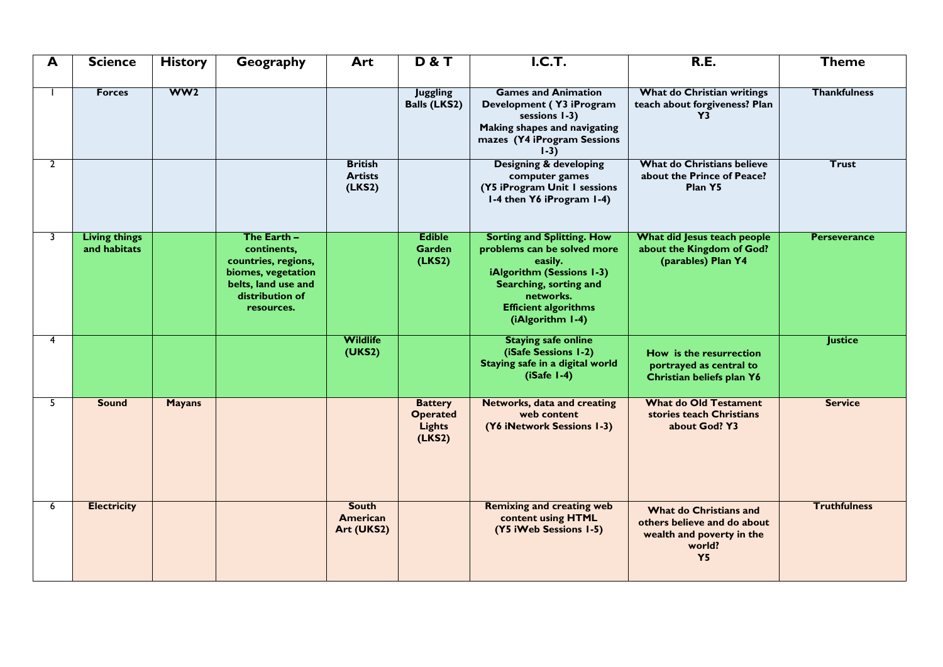| A            | <b>Science</b>                       | <b>History</b>  | Geography                                                                                                                       | Art                                        | <b>D&amp;T</b>                                               | <b>I.C.T.</b>                                                                                                                                                                                      | <b>R.E.</b>                                                                                               | <b>Theme</b>        |
|--------------|--------------------------------------|-----------------|---------------------------------------------------------------------------------------------------------------------------------|--------------------------------------------|--------------------------------------------------------------|----------------------------------------------------------------------------------------------------------------------------------------------------------------------------------------------------|-----------------------------------------------------------------------------------------------------------|---------------------|
|              | <b>Forces</b>                        | WW <sub>2</sub> |                                                                                                                                 |                                            | <b>Juggling</b><br><b>Balls (LKS2)</b>                       | <b>Games and Animation</b><br>Development (Y3 iProgram<br>sessions 1-3)<br>Making shapes and navigating<br>mazes (Y4 iProgram Sessions<br>$1-3)$                                                   | What do Christian writings<br>teach about forgiveness? Plan<br>Y3                                         | <b>Thankfulness</b> |
| $\mathbf{2}$ |                                      |                 |                                                                                                                                 | <b>British</b><br><b>Artists</b><br>(LKS2) |                                                              | <b>Designing &amp; developing</b><br>computer games<br>(Y5 iProgram Unit I sessions<br>1-4 then Y6 iProgram 1-4)                                                                                   | <b>What do Christians believe</b><br>about the Prince of Peace?<br>Plan Y5                                | <b>Trust</b>        |
| 3            | <b>Living things</b><br>and habitats |                 | The Earth -<br>continents,<br>countries, regions,<br>biomes, vegetation<br>belts, land use and<br>distribution of<br>resources. |                                            | <b>Edible</b><br><b>Garden</b><br>(LKS2)                     | <b>Sorting and Splitting. How</b><br>problems can be solved more<br>easily.<br>iAlgorithm (Sessions 1-3)<br>Searching, sorting and<br>networks.<br><b>Efficient algorithms</b><br>(iAlgorithm 1-4) | What did Jesus teach people<br>about the Kingdom of God?<br>(parables) Plan Y4                            | <b>Perseverance</b> |
| 4            |                                      |                 |                                                                                                                                 | <b>Wildlife</b><br>(UKS2)                  |                                                              | <b>Staying safe online</b><br>(iSafe Sessions 1-2)<br>Staying safe in a digital world<br>$(iSafe 1-4)$                                                                                             | How is the resurrection<br>portrayed as central to<br>Christian beliefs plan Y6                           | <b>Justice</b>      |
| 5            | <b>Sound</b>                         | <b>Mayans</b>   |                                                                                                                                 |                                            | <b>Battery</b><br><b>Operated</b><br><b>Lights</b><br>(LKS2) | Networks, data and creating<br>web content<br>(Y6 iNetwork Sessions 1-3)                                                                                                                           | <b>What do Old Testament</b><br>stories teach Christians<br>about God? Y3                                 | <b>Service</b>      |
| 6            | <b>Electricity</b>                   |                 |                                                                                                                                 | <b>South</b><br>American<br>Art (UKS2)     |                                                              | <b>Remixing and creating web</b><br>content using HTML<br>(Y5 iWeb Sessions 1-5)                                                                                                                   | What do Christians and<br>others believe and do about<br>wealth and poverty in the<br>world?<br><b>Y5</b> | <b>Truthfulness</b> |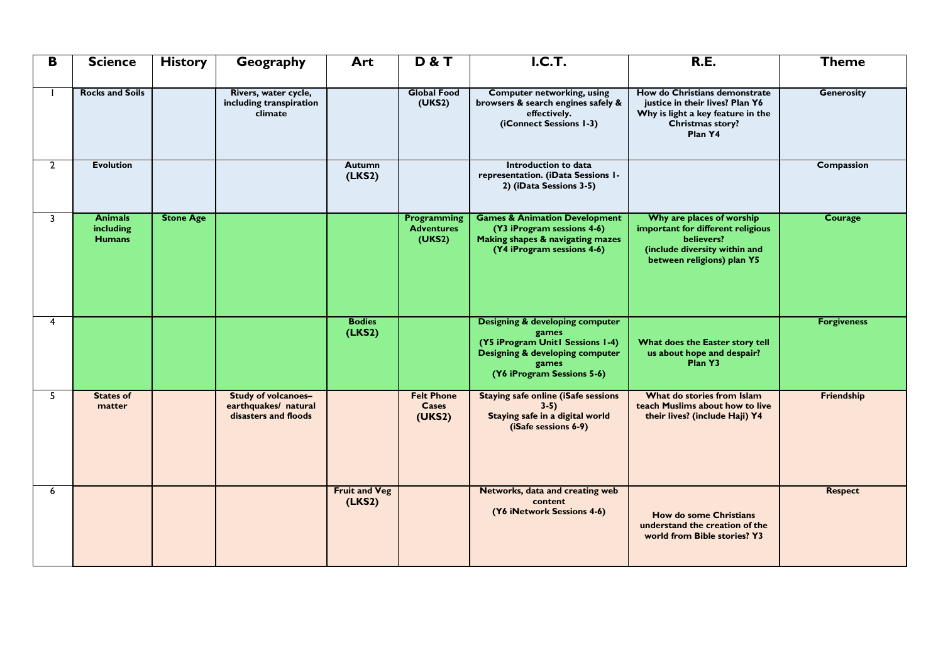| B              | <b>Science</b>                               | <b>History</b>   | Geography                                                           | Art                            | <b>D&amp;T</b>                                     | <b>I.C.T.</b>                                                                                                                                                     | <b>R.E.</b>                                                                                                                                 | <b>Theme</b>       |
|----------------|----------------------------------------------|------------------|---------------------------------------------------------------------|--------------------------------|----------------------------------------------------|-------------------------------------------------------------------------------------------------------------------------------------------------------------------|---------------------------------------------------------------------------------------------------------------------------------------------|--------------------|
|                | <b>Rocks and Soils</b>                       |                  | Rivers, water cycle,<br>including transpiration<br>climate          |                                | <b>Global Food</b><br>(UKS2)                       | <b>Computer networking, using</b><br>browsers & search engines safely &<br>effectively.<br>(iConnect Sessions 1-3)                                                | How do Christians demonstrate<br>justice in their lives? Plan Y6<br>Why is light a key feature in the<br>Christmas story?<br>Plan Y4        | <b>Generosity</b>  |
| $\overline{2}$ | <b>Evolution</b>                             |                  |                                                                     | <b>Autumn</b><br>(LKS2)        |                                                    | Introduction to data<br>representation. (iData Sessions I-<br>2) (iData Sessions 3-5)                                                                             |                                                                                                                                             | Compassion         |
| 3              | <b>Animals</b><br>including<br><b>Humans</b> | <b>Stone Age</b> |                                                                     |                                | <b>Programming</b><br><b>Adventures</b><br>(UKS2)  | <b>Games &amp; Animation Development</b><br>(Y3 iProgram sessions 4-6)<br>Making shapes & navigating mazes<br>(Y4 iProgram sessions 4-6)                          | Why are places of worship<br>important for different religious<br>believers?<br>(include diversity within and<br>between religions) plan Y5 | <b>Courage</b>     |
| 4              |                                              |                  |                                                                     | <b>Bodies</b><br>(LKS2)        |                                                    | <b>Designing &amp; developing computer</b><br>games<br>(Y5 iProgram Unit1 Sessions 1-4)<br>Designing & developing computer<br>games<br>(Y6 iProgram Sessions 5-6) | What does the Easter story tell<br>us about hope and despair?<br>Plan Y3                                                                    | <b>Forgiveness</b> |
| 5              | <b>States of</b><br>matter                   |                  | Study of volcanoes-<br>earthquakes/ natural<br>disasters and floods |                                | <b>Felt Phone</b><br><b>Cases</b><br><b>(UKS2)</b> | <b>Staying safe online (iSafe sessions</b><br>$3-5)$<br>Staying safe in a digital world<br>(iSafe sessions 6-9)                                                   | What do stories from Islam<br>teach Muslims about how to live<br>their lives? (include Haji) Y4                                             | Friendship         |
| 6              |                                              |                  |                                                                     | <b>Fruit and Veg</b><br>(LKS2) |                                                    | Networks, data and creating web<br>content<br>(Y6 iNetwork Sessions 4-6)                                                                                          | <b>How do some Christians</b><br>understand the creation of the<br>world from Bible stories? Y3                                             | <b>Respect</b>     |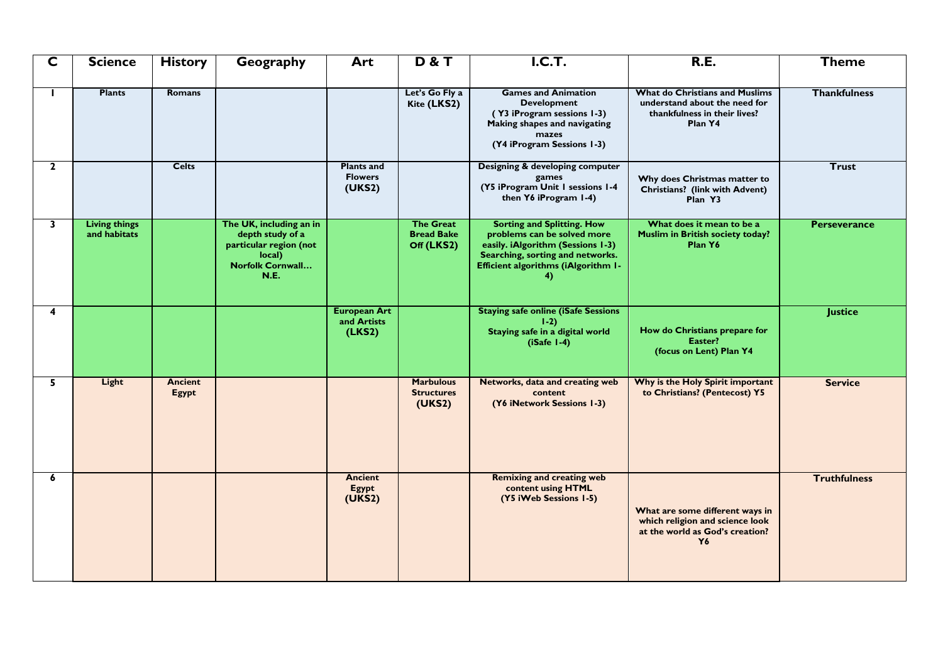| $\overline{\mathsf{C}}$ | <b>Science</b>                       | <b>History</b>          | Geography                                                                                                          | Art                                           | <b>D&amp;T</b>                                      | <b>I.C.T.</b>                                                                                                                                                                                 | <b>R.E.</b>                                                                                                       | <b>Theme</b>        |
|-------------------------|--------------------------------------|-------------------------|--------------------------------------------------------------------------------------------------------------------|-----------------------------------------------|-----------------------------------------------------|-----------------------------------------------------------------------------------------------------------------------------------------------------------------------------------------------|-------------------------------------------------------------------------------------------------------------------|---------------------|
| п                       | <b>Plants</b>                        | Romans                  |                                                                                                                    |                                               | Let's Go Fly a<br>Kite (LKS2)                       | <b>Games and Animation</b><br><b>Development</b><br>(Y3 iProgram sessions 1-3)<br>Making shapes and navigating<br>mazes<br>(Y4 iProgram Sessions 1-3)                                         | <b>What do Christians and Muslims</b><br>understand about the need for<br>thankfulness in their lives?<br>Plan Y4 | <b>Thankfulness</b> |
| $\mathbf{2}$            |                                      | <b>Celts</b>            |                                                                                                                    | <b>Plants and</b><br><b>Flowers</b><br>(UKS2) |                                                     | Designing & developing computer<br>games<br>(Y5 iProgram Unit I sessions I-4<br>then Y6 iProgram 1-4)                                                                                         | Why does Christmas matter to<br>Christians? (link with Advent)<br>Plan Y3                                         | <b>Trust</b>        |
| 3                       | <b>Living things</b><br>and habitats |                         | The UK, including an in<br>depth study of a<br>particular region (not<br>local)<br>Norfolk Cornwall<br><b>N.E.</b> |                                               | <b>The Great</b><br><b>Bread Bake</b><br>Off (LKS2) | <b>Sorting and Splitting. How</b><br>problems can be solved more<br>easily. iAlgorithm (Sessions 1-3)<br>Searching, sorting and networks.<br><b>Efficient algorithms (iAlgorithm I-</b><br>4) | What does it mean to be a<br>Muslim in British society today?<br>Plan Y6                                          | <b>Perseverance</b> |
| 4                       |                                      |                         |                                                                                                                    | <b>European Art</b><br>and Artists<br>(LKS2)  |                                                     | <b>Staying safe online (iSafe Sessions</b><br>$1-2)$<br>Staying safe in a digital world<br>$(iSafe 1-4)$                                                                                      | How do Christians prepare for<br>Easter?<br>(focus on Lent) Plan Y4                                               | <b>Justice</b>      |
| 5                       | Light                                | <b>Ancient</b><br>Egypt |                                                                                                                    |                                               | <b>Marbulous</b><br><b>Structures</b><br>(UKS2)     | Networks, data and creating web<br>content<br>(Y6 iNetwork Sessions 1-3)                                                                                                                      | Why is the Holy Spirit important<br>to Christians? (Pentecost) Y5                                                 | <b>Service</b>      |
| 6                       |                                      |                         |                                                                                                                    | <b>Ancient</b><br><b>Egypt</b><br>(UKS2)      |                                                     | <b>Remixing and creating web</b><br>content using HTML<br>(Y5 iWeb Sessions 1-5)                                                                                                              | What are some different ways in<br>which religion and science look<br>at the world as God's creation?<br>Y6       | <b>Truthfulness</b> |